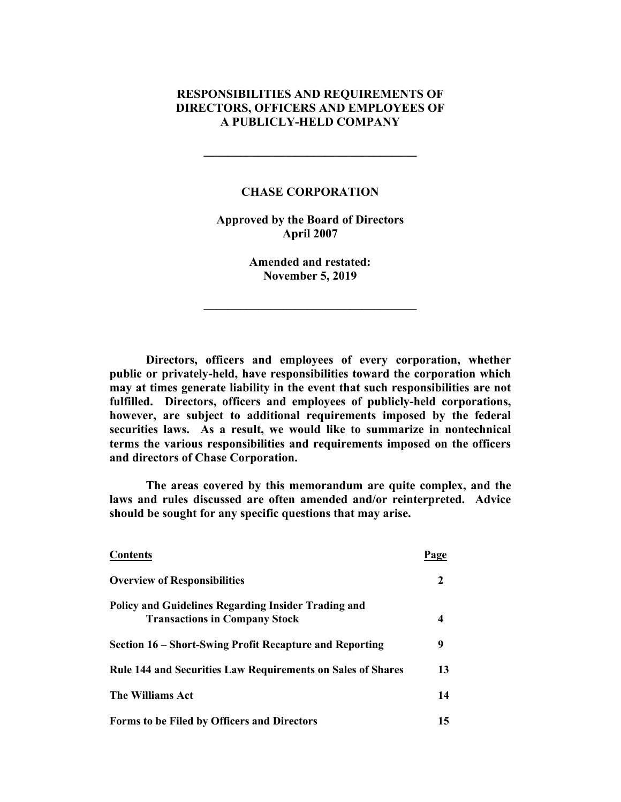### **RESPONSIBILITIES AND REQUIREMENTS OF DIRECTORS, OFFICERS AND EMPLOYEES OF A PUBLICLY-HELD COMPANY**

#### **CHASE CORPORATION**

**\_\_\_\_\_\_\_\_\_\_\_\_\_\_\_\_\_\_\_\_\_\_\_\_\_\_\_\_\_\_\_\_\_\_\_**

**Approved by the Board of Directors April 2007**

> **Amended and restated: November 5, 2019**

**\_\_\_\_\_\_\_\_\_\_\_\_\_\_\_\_\_\_\_\_\_\_\_\_\_\_\_\_\_\_\_\_\_\_\_**

**Directors, officers and employees of every corporation, whether public or privately-held, have responsibilities toward the corporation which may at times generate liability in the event that such responsibilities are not fulfilled. Directors, officers and employees of publicly-held corporations, however, are subject to additional requirements imposed by the federal securities laws. As a result, we would like to summarize in nontechnical terms the various responsibilities and requirements imposed on the officers and directors of Chase Corporation.**

**The areas covered by this memorandum are quite complex, and the laws and rules discussed are often amended and/or reinterpreted. Advice should be sought for any specific questions that may arise.**

| <b>Contents</b>                                                    | Page |
|--------------------------------------------------------------------|------|
| <b>Overview of Responsibilities</b>                                | 2    |
| <b>Policy and Guidelines Regarding Insider Trading and</b>         |      |
| <b>Transactions in Company Stock</b>                               |      |
| Section 16 – Short-Swing Profit Recapture and Reporting            | 9    |
| <b>Rule 144 and Securities Law Requirements on Sales of Shares</b> | 13   |
| The Williams Act                                                   | 14   |
| Forms to be Filed by Officers and Directors                        | 15   |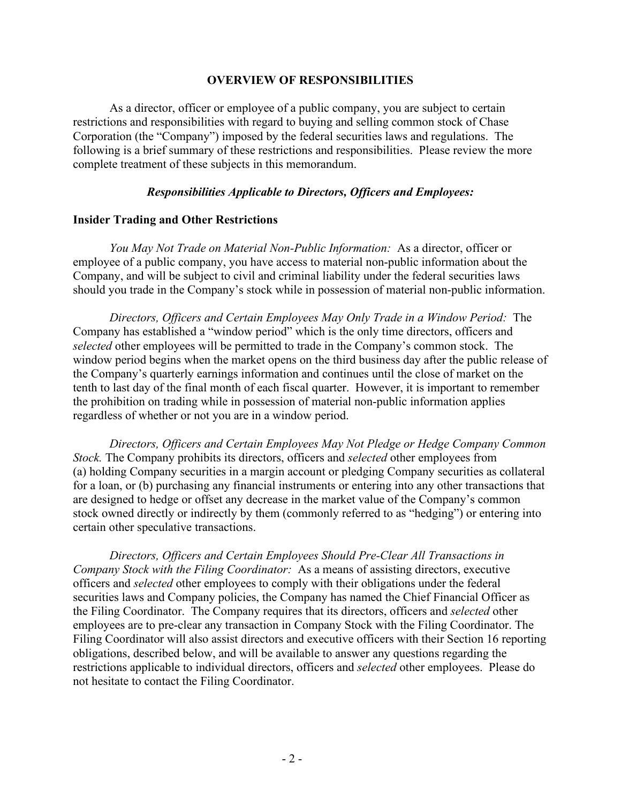#### **OVERVIEW OF RESPONSIBILITIES**

As a director, officer or employee of a public company, you are subject to certain restrictions and responsibilities with regard to buying and selling common stock of Chase Corporation (the "Company") imposed by the federal securities laws and regulations. The following is a brief summary of these restrictions and responsibilities. Please review the more complete treatment of these subjects in this memorandum.

### *Responsibilities Applicable to Directors, Officers and Employees:*

#### **Insider Trading and Other Restrictions**

*You May Not Trade on Material Non-Public Information:* As a director, officer or employee of a public company, you have access to material non-public information about the Company, and will be subject to civil and criminal liability under the federal securities laws should you trade in the Company's stock while in possession of material non-public information.

*Directors, Officers and Certain Employees May Only Trade in a Window Period:* The Company has established a "window period" which is the only time directors, officers and *selected* other employees will be permitted to trade in the Company's common stock. The window period begins when the market opens on the third business day after the public release of the Company's quarterly earnings information and continues until the close of market on the tenth to last day of the final month of each fiscal quarter. However, it is important to remember the prohibition on trading while in possession of material non-public information applies regardless of whether or not you are in a window period.

*Directors, Officers and Certain Employees May Not Pledge or Hedge Company Common Stock.* The Company prohibits its directors, officers and *selected* other employees from (a) holding Company securities in a margin account or pledging Company securities as collateral for a loan, or (b) purchasing any financial instruments or entering into any other transactions that are designed to hedge or offset any decrease in the market value of the Company's common stock owned directly or indirectly by them (commonly referred to as "hedging") or entering into certain other speculative transactions.

*Directors, Officers and Certain Employees Should Pre-Clear All Transactions in Company Stock with the Filing Coordinator:* As a means of assisting directors, executive officers and *selected* other employees to comply with their obligations under the federal securities laws and Company policies, the Company has named the Chief Financial Officer as the Filing Coordinator. The Company requires that its directors, officers and *selected* other employees are to pre-clear any transaction in Company Stock with the Filing Coordinator. The Filing Coordinator will also assist directors and executive officers with their Section 16 reporting obligations, described below, and will be available to answer any questions regarding the restrictions applicable to individual directors, officers and *selected* other employees. Please do not hesitate to contact the Filing Coordinator.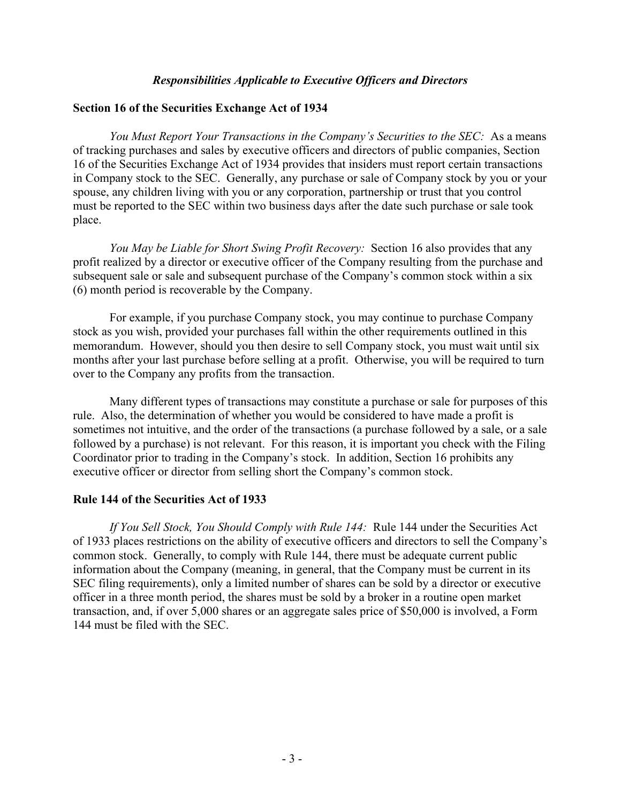#### *Responsibilities Applicable to Executive Officers and Directors*

#### **Section 16 of the Securities Exchange Act of 1934**

*You Must Report Your Transactions in the Company's Securities to the SEC:* As a means of tracking purchases and sales by executive officers and directors of public companies, Section 16 of the Securities Exchange Act of 1934 provides that insiders must report certain transactions in Company stock to the SEC. Generally, any purchase or sale of Company stock by you or your spouse, any children living with you or any corporation, partnership or trust that you control must be reported to the SEC within two business days after the date such purchase or sale took place.

*You May be Liable for Short Swing Profit Recovery:* Section 16 also provides that any profit realized by a director or executive officer of the Company resulting from the purchase and subsequent sale or sale and subsequent purchase of the Company's common stock within a six (6) month period is recoverable by the Company.

For example, if you purchase Company stock, you may continue to purchase Company stock as you wish, provided your purchases fall within the other requirements outlined in this memorandum. However, should you then desire to sell Company stock, you must wait until six months after your last purchase before selling at a profit. Otherwise, you will be required to turn over to the Company any profits from the transaction.

Many different types of transactions may constitute a purchase or sale for purposes of this rule. Also, the determination of whether you would be considered to have made a profit is sometimes not intuitive, and the order of the transactions (a purchase followed by a sale, or a sale followed by a purchase) is not relevant. For this reason, it is important you check with the Filing Coordinator prior to trading in the Company's stock. In addition, Section 16 prohibits any executive officer or director from selling short the Company's common stock.

#### **Rule 144 of the Securities Act of 1933**

*If You Sell Stock, You Should Comply with Rule 144:* Rule 144 under the Securities Act of 1933 places restrictions on the ability of executive officers and directors to sell the Company's common stock. Generally, to comply with Rule 144, there must be adequate current public information about the Company (meaning, in general, that the Company must be current in its SEC filing requirements), only a limited number of shares can be sold by a director or executive officer in a three month period, the shares must be sold by a broker in a routine open market transaction, and, if over 5,000 shares or an aggregate sales price of \$50,000 is involved, a Form 144 must be filed with the SEC.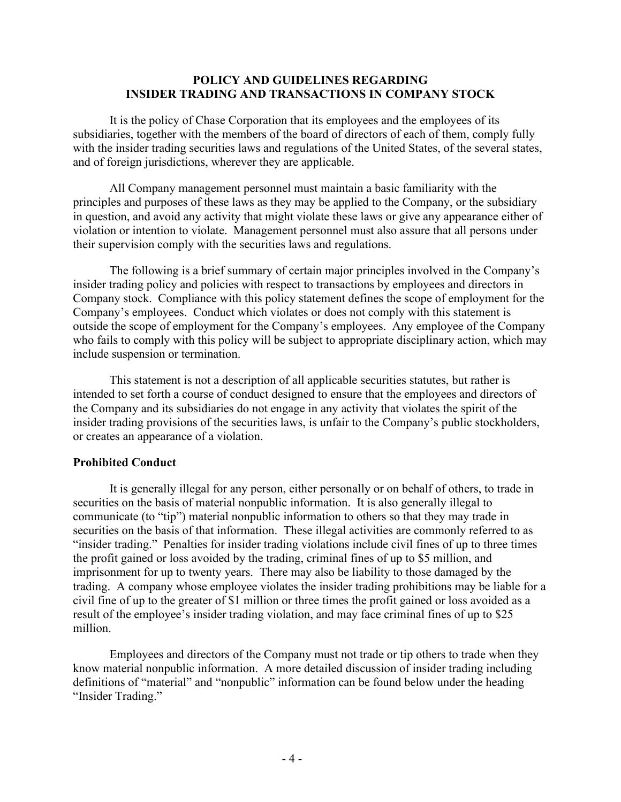### **POLICY AND GUIDELINES REGARDING INSIDER TRADING AND TRANSACTIONS IN COMPANY STOCK**

It is the policy of Chase Corporation that its employees and the employees of its subsidiaries, together with the members of the board of directors of each of them, comply fully with the insider trading securities laws and regulations of the United States, of the several states, and of foreign jurisdictions, wherever they are applicable.

All Company management personnel must maintain a basic familiarity with the principles and purposes of these laws as they may be applied to the Company, or the subsidiary in question, and avoid any activity that might violate these laws or give any appearance either of violation or intention to violate. Management personnel must also assure that all persons under their supervision comply with the securities laws and regulations.

The following is a brief summary of certain major principles involved in the Company's insider trading policy and policies with respect to transactions by employees and directors in Company stock. Compliance with this policy statement defines the scope of employment for the Company's employees. Conduct which violates or does not comply with this statement is outside the scope of employment for the Company's employees. Any employee of the Company who fails to comply with this policy will be subject to appropriate disciplinary action, which may include suspension or termination.

This statement is not a description of all applicable securities statutes, but rather is intended to set forth a course of conduct designed to ensure that the employees and directors of the Company and its subsidiaries do not engage in any activity that violates the spirit of the insider trading provisions of the securities laws, is unfair to the Company's public stockholders, or creates an appearance of a violation.

### **Prohibited Conduct**

It is generally illegal for any person, either personally or on behalf of others, to trade in securities on the basis of material nonpublic information. It is also generally illegal to communicate (to "tip") material nonpublic information to others so that they may trade in securities on the basis of that information. These illegal activities are commonly referred to as "insider trading." Penalties for insider trading violations include civil fines of up to three times the profit gained or loss avoided by the trading, criminal fines of up to \$5 million, and imprisonment for up to twenty years. There may also be liability to those damaged by the trading. A company whose employee violates the insider trading prohibitions may be liable for a civil fine of up to the greater of \$1 million or three times the profit gained or loss avoided as a result of the employee's insider trading violation, and may face criminal fines of up to \$25 million.

Employees and directors of the Company must not trade or tip others to trade when they know material nonpublic information. A more detailed discussion of insider trading including definitions of "material" and "nonpublic" information can be found below under the heading "Insider Trading."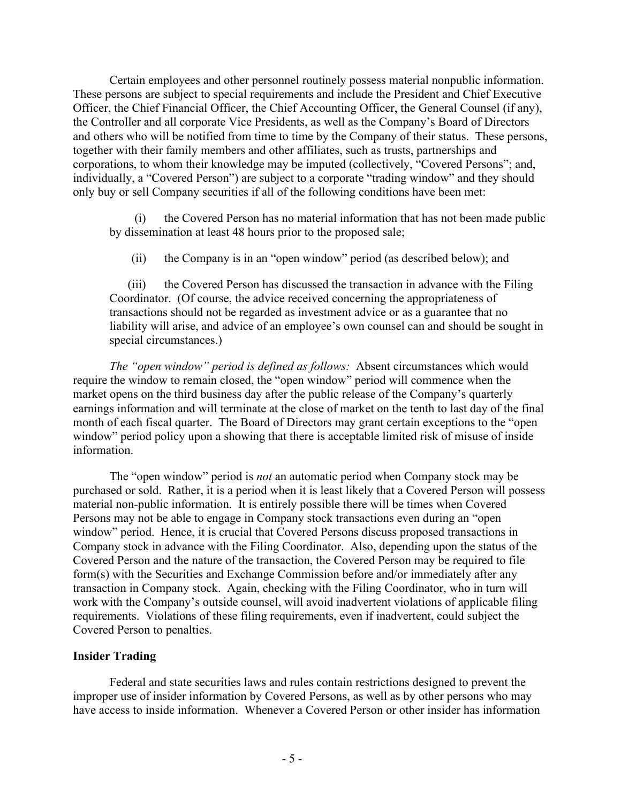Certain employees and other personnel routinely possess material nonpublic information. These persons are subject to special requirements and include the President and Chief Executive Officer, the Chief Financial Officer, the Chief Accounting Officer, the General Counsel (if any), the Controller and all corporate Vice Presidents, as well as the Company's Board of Directors and others who will be notified from time to time by the Company of their status. These persons, together with their family members and other affiliates, such as trusts, partnerships and corporations, to whom their knowledge may be imputed (collectively, "Covered Persons"; and, individually, a "Covered Person") are subject to a corporate "trading window" and they should only buy or sell Company securities if all of the following conditions have been met:

(i) the Covered Person has no material information that has not been made public by dissemination at least 48 hours prior to the proposed sale;

(ii) the Company is in an "open window" period (as described below); and

(iii) the Covered Person has discussed the transaction in advance with the Filing Coordinator. (Of course, the advice received concerning the appropriateness of transactions should not be regarded as investment advice or as a guarantee that no liability will arise, and advice of an employee's own counsel can and should be sought in special circumstances.)

*The "open window" period is defined as follows:* Absent circumstances which would require the window to remain closed, the "open window" period will commence when the market opens on the third business day after the public release of the Company's quarterly earnings information and will terminate at the close of market on the tenth to last day of the final month of each fiscal quarter. The Board of Directors may grant certain exceptions to the "open window" period policy upon a showing that there is acceptable limited risk of misuse of inside information.

The "open window" period is *not* an automatic period when Company stock may be purchased or sold. Rather, it is a period when it is least likely that a Covered Person will possess material non-public information. It is entirely possible there will be times when Covered Persons may not be able to engage in Company stock transactions even during an "open window" period. Hence, it is crucial that Covered Persons discuss proposed transactions in Company stock in advance with the Filing Coordinator. Also, depending upon the status of the Covered Person and the nature of the transaction, the Covered Person may be required to file form(s) with the Securities and Exchange Commission before and/or immediately after any transaction in Company stock. Again, checking with the Filing Coordinator, who in turn will work with the Company's outside counsel, will avoid inadvertent violations of applicable filing requirements. Violations of these filing requirements, even if inadvertent, could subject the Covered Person to penalties.

### **Insider Trading**

Federal and state securities laws and rules contain restrictions designed to prevent the improper use of insider information by Covered Persons, as well as by other persons who may have access to inside information. Whenever a Covered Person or other insider has information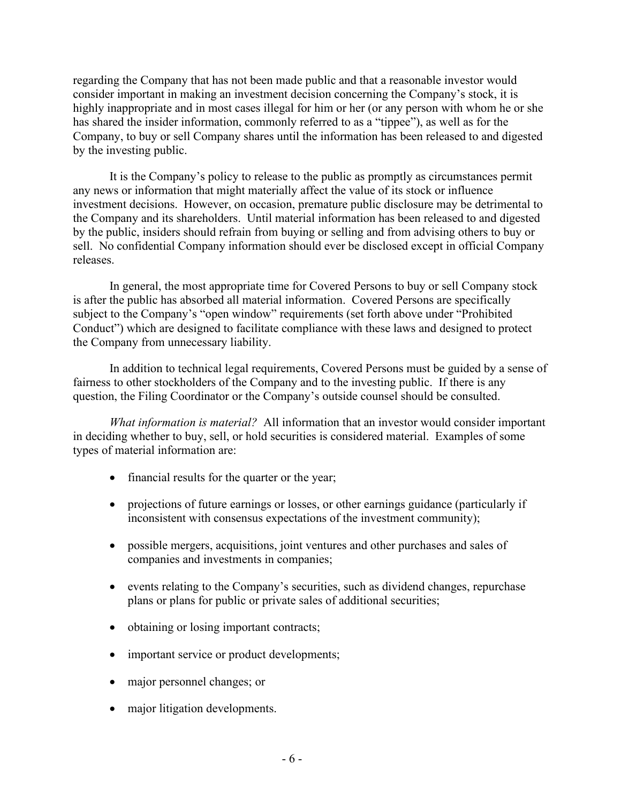regarding the Company that has not been made public and that a reasonable investor would consider important in making an investment decision concerning the Company's stock, it is highly inappropriate and in most cases illegal for him or her (or any person with whom he or she has shared the insider information, commonly referred to as a "tippee"), as well as for the Company, to buy or sell Company shares until the information has been released to and digested by the investing public.

It is the Company's policy to release to the public as promptly as circumstances permit any news or information that might materially affect the value of its stock or influence investment decisions. However, on occasion, premature public disclosure may be detrimental to the Company and its shareholders. Until material information has been released to and digested by the public, insiders should refrain from buying or selling and from advising others to buy or sell. No confidential Company information should ever be disclosed except in official Company releases.

In general, the most appropriate time for Covered Persons to buy or sell Company stock is after the public has absorbed all material information. Covered Persons are specifically subject to the Company's "open window" requirements (set forth above under "Prohibited Conduct") which are designed to facilitate compliance with these laws and designed to protect the Company from unnecessary liability.

In addition to technical legal requirements, Covered Persons must be guided by a sense of fairness to other stockholders of the Company and to the investing public. If there is any question, the Filing Coordinator or the Company's outside counsel should be consulted.

*What information is material?* All information that an investor would consider important in deciding whether to buy, sell, or hold securities is considered material. Examples of some types of material information are:

- financial results for the quarter or the year;
- projections of future earnings or losses, or other earnings guidance (particularly if inconsistent with consensus expectations of the investment community);
- possible mergers, acquisitions, joint ventures and other purchases and sales of companies and investments in companies;
- events relating to the Company's securities, such as dividend changes, repurchase plans or plans for public or private sales of additional securities;
- obtaining or losing important contracts;
- important service or product developments;
- major personnel changes; or
- major litigation developments.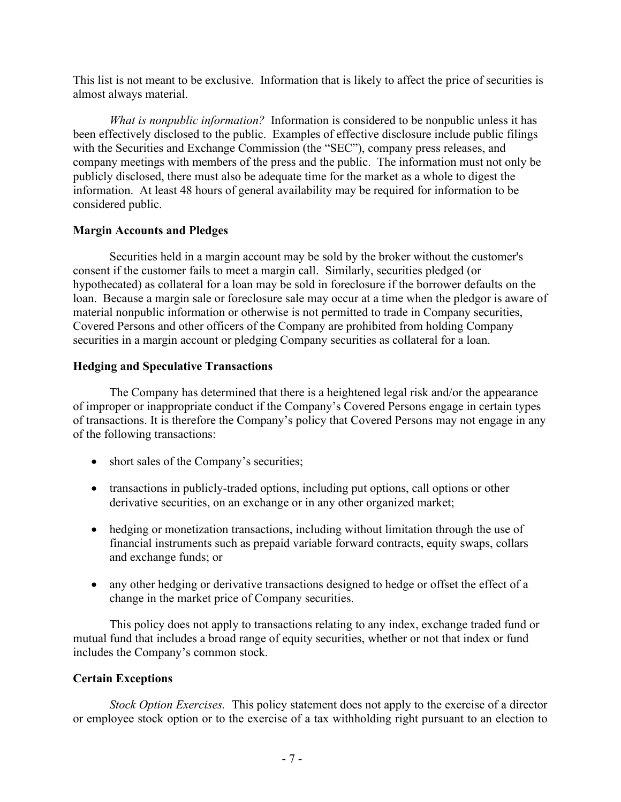This list is not meant to be exclusive. Information that is likely to affect the price of securities is almost always material.

*What is nonpublic information?* Information is considered to be nonpublic unless it has been effectively disclosed to the public. Examples of effective disclosure include public filings with the Securities and Exchange Commission (the "SEC"), company press releases, and company meetings with members of the press and the public. The information must not only be publicly disclosed, there must also be adequate time for the market as a whole to digest the information. At least 48 hours of general availability may be required for information to be considered public.

# **Margin Accounts and Pledges**

Securities held in a margin account may be sold by the broker without the customer's consent if the customer fails to meet a margin call. Similarly, securities pledged (or hypothecated) as collateral for a loan may be sold in foreclosure if the borrower defaults on the loan. Because a margin sale or foreclosure sale may occur at a time when the pledgor is aware of material nonpublic information or otherwise is not permitted to trade in Company securities, Covered Persons and other officers of the Company are prohibited from holding Company securities in a margin account or pledging Company securities as collateral for a loan.

## **Hedging and Speculative Transactions**

The Company has determined that there is a heightened legal risk and/or the appearance of improper or inappropriate conduct if the Company's Covered Persons engage in certain types of transactions. It is therefore the Company's policy that Covered Persons may not engage in any of the following transactions:

- short sales of the Company's securities;
- transactions in publicly-traded options, including put options, call options or other derivative securities, on an exchange or in any other organized market;
- hedging or monetization transactions, including without limitation through the use of financial instruments such as prepaid variable forward contracts, equity swaps, collars and exchange funds; or
- any other hedging or derivative transactions designed to hedge or offset the effect of a change in the market price of Company securities.

This policy does not apply to transactions relating to any index, exchange traded fund or mutual fund that includes a broad range of equity securities, whether or not that index or fund includes the Company's common stock.

# **Certain Exceptions**

*Stock Option Exercises.* This policy statement does not apply to the exercise of a director or employee stock option or to the exercise of a tax withholding right pursuant to an election to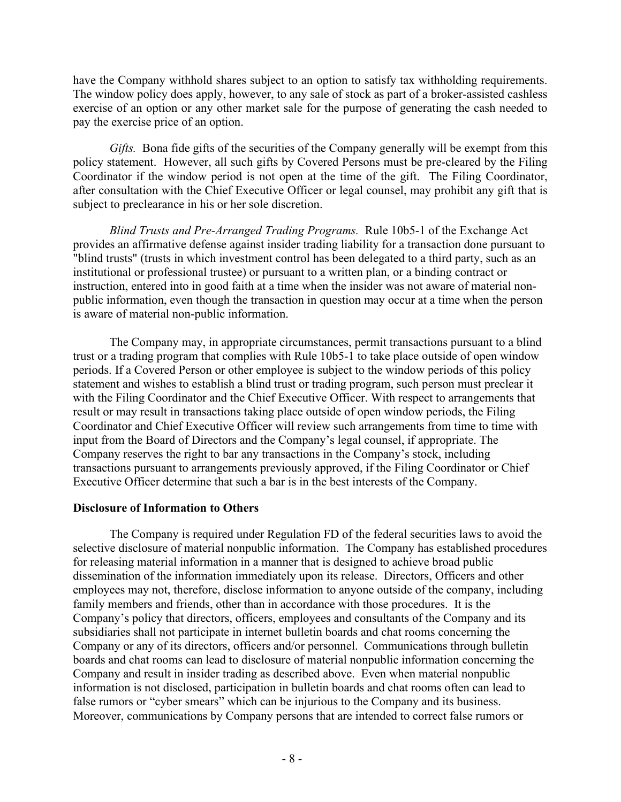have the Company withhold shares subject to an option to satisfy tax withholding requirements. The window policy does apply, however, to any sale of stock as part of a broker-assisted cashless exercise of an option or any other market sale for the purpose of generating the cash needed to pay the exercise price of an option.

*Gifts.* Bona fide gifts of the securities of the Company generally will be exempt from this policy statement. However, all such gifts by Covered Persons must be pre-cleared by the Filing Coordinator if the window period is not open at the time of the gift. The Filing Coordinator, after consultation with the Chief Executive Officer or legal counsel, may prohibit any gift that is subject to preclearance in his or her sole discretion.

*Blind Trusts and Pre-Arranged Trading Programs.* Rule 10b5-1 of the Exchange Act provides an affirmative defense against insider trading liability for a transaction done pursuant to "blind trusts" (trusts in which investment control has been delegated to a third party, such as an institutional or professional trustee) or pursuant to a written plan, or a binding contract or instruction, entered into in good faith at a time when the insider was not aware of material nonpublic information, even though the transaction in question may occur at a time when the person is aware of material non-public information.

The Company may, in appropriate circumstances, permit transactions pursuant to a blind trust or a trading program that complies with Rule 10b5-1 to take place outside of open window periods. If a Covered Person or other employee is subject to the window periods of this policy statement and wishes to establish a blind trust or trading program, such person must preclear it with the Filing Coordinator and the Chief Executive Officer. With respect to arrangements that result or may result in transactions taking place outside of open window periods, the Filing Coordinator and Chief Executive Officer will review such arrangements from time to time with input from the Board of Directors and the Company's legal counsel, if appropriate. The Company reserves the right to bar any transactions in the Company's stock, including transactions pursuant to arrangements previously approved, if the Filing Coordinator or Chief Executive Officer determine that such a bar is in the best interests of the Company.

### **Disclosure of Information to Others**

The Company is required under Regulation FD of the federal securities laws to avoid the selective disclosure of material nonpublic information. The Company has established procedures for releasing material information in a manner that is designed to achieve broad public dissemination of the information immediately upon its release. Directors, Officers and other employees may not, therefore, disclose information to anyone outside of the company, including family members and friends, other than in accordance with those procedures. It is the Company's policy that directors, officers, employees and consultants of the Company and its subsidiaries shall not participate in internet bulletin boards and chat rooms concerning the Company or any of its directors, officers and/or personnel. Communications through bulletin boards and chat rooms can lead to disclosure of material nonpublic information concerning the Company and result in insider trading as described above. Even when material nonpublic information is not disclosed, participation in bulletin boards and chat rooms often can lead to false rumors or "cyber smears" which can be injurious to the Company and its business. Moreover, communications by Company persons that are intended to correct false rumors or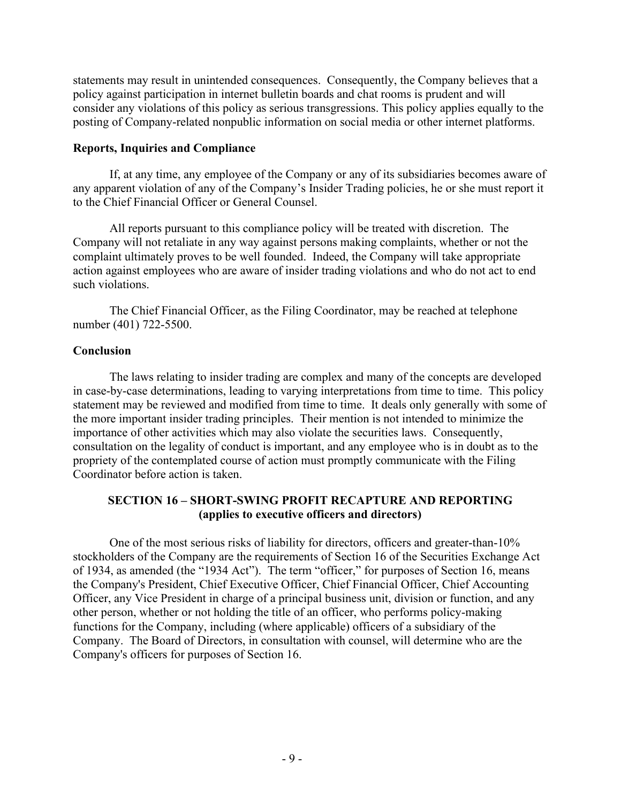statements may result in unintended consequences. Consequently, the Company believes that a policy against participation in internet bulletin boards and chat rooms is prudent and will consider any violations of this policy as serious transgressions. This policy applies equally to the posting of Company-related nonpublic information on social media or other internet platforms.

### **Reports, Inquiries and Compliance**

If, at any time, any employee of the Company or any of its subsidiaries becomes aware of any apparent violation of any of the Company's Insider Trading policies, he or she must report it to the Chief Financial Officer or General Counsel.

All reports pursuant to this compliance policy will be treated with discretion. The Company will not retaliate in any way against persons making complaints, whether or not the complaint ultimately proves to be well founded. Indeed, the Company will take appropriate action against employees who are aware of insider trading violations and who do not act to end such violations.

The Chief Financial Officer, as the Filing Coordinator, may be reached at telephone number (401) 722-5500.

## **Conclusion**

The laws relating to insider trading are complex and many of the concepts are developed in case-by-case determinations, leading to varying interpretations from time to time. This policy statement may be reviewed and modified from time to time. It deals only generally with some of the more important insider trading principles. Their mention is not intended to minimize the importance of other activities which may also violate the securities laws. Consequently, consultation on the legality of conduct is important, and any employee who is in doubt as to the propriety of the contemplated course of action must promptly communicate with the Filing Coordinator before action is taken.

# **SECTION 16 – SHORT-SWING PROFIT RECAPTURE AND REPORTING (applies to executive officers and directors)**

One of the most serious risks of liability for directors, officers and greater-than-10% stockholders of the Company are the requirements of Section 16 of the Securities Exchange Act of 1934, as amended (the "1934 Act"). The term "officer," for purposes of Section 16, means the Company's President, Chief Executive Officer, Chief Financial Officer, Chief Accounting Officer, any Vice President in charge of a principal business unit, division or function, and any other person, whether or not holding the title of an officer, who performs policy-making functions for the Company, including (where applicable) officers of a subsidiary of the Company. The Board of Directors, in consultation with counsel, will determine who are the Company's officers for purposes of Section 16.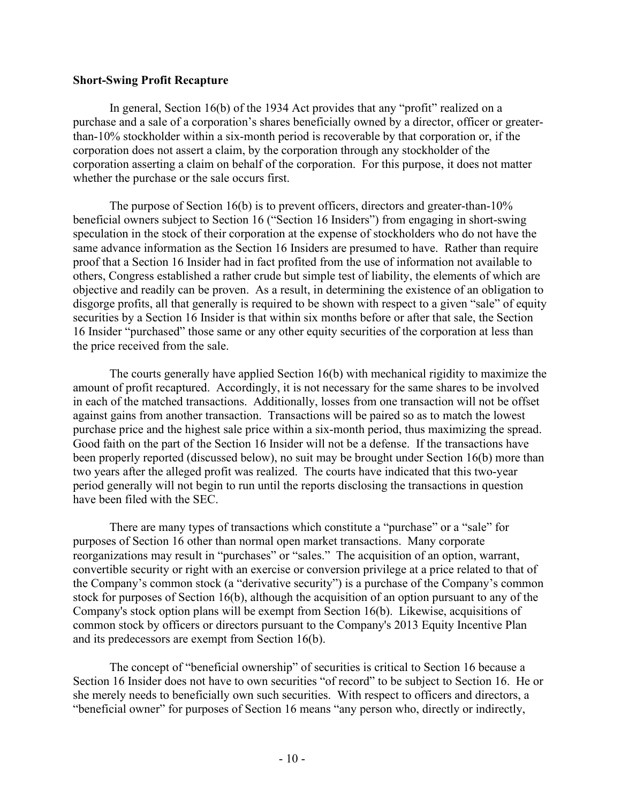#### **Short-Swing Profit Recapture**

In general, Section 16(b) of the 1934 Act provides that any "profit" realized on a purchase and a sale of a corporation's shares beneficially owned by a director, officer or greaterthan-10% stockholder within a six-month period is recoverable by that corporation or, if the corporation does not assert a claim, by the corporation through any stockholder of the corporation asserting a claim on behalf of the corporation. For this purpose, it does not matter whether the purchase or the sale occurs first.

The purpose of Section 16(b) is to prevent officers, directors and greater-than-10% beneficial owners subject to Section 16 ("Section 16 Insiders") from engaging in short-swing speculation in the stock of their corporation at the expense of stockholders who do not have the same advance information as the Section 16 Insiders are presumed to have. Rather than require proof that a Section 16 Insider had in fact profited from the use of information not available to others, Congress established a rather crude but simple test of liability, the elements of which are objective and readily can be proven. As a result, in determining the existence of an obligation to disgorge profits, all that generally is required to be shown with respect to a given "sale" of equity securities by a Section 16 Insider is that within six months before or after that sale, the Section 16 Insider "purchased" those same or any other equity securities of the corporation at less than the price received from the sale.

The courts generally have applied Section 16(b) with mechanical rigidity to maximize the amount of profit recaptured. Accordingly, it is not necessary for the same shares to be involved in each of the matched transactions. Additionally, losses from one transaction will not be offset against gains from another transaction. Transactions will be paired so as to match the lowest purchase price and the highest sale price within a six-month period, thus maximizing the spread. Good faith on the part of the Section 16 Insider will not be a defense. If the transactions have been properly reported (discussed below), no suit may be brought under Section 16(b) more than two years after the alleged profit was realized. The courts have indicated that this two-year period generally will not begin to run until the reports disclosing the transactions in question have been filed with the SEC.

There are many types of transactions which constitute a "purchase" or a "sale" for purposes of Section 16 other than normal open market transactions. Many corporate reorganizations may result in "purchases" or "sales." The acquisition of an option, warrant, convertible security or right with an exercise or conversion privilege at a price related to that of the Company's common stock (a "derivative security") is a purchase of the Company's common stock for purposes of Section 16(b), although the acquisition of an option pursuant to any of the Company's stock option plans will be exempt from Section 16(b). Likewise, acquisitions of common stock by officers or directors pursuant to the Company's 2013 Equity Incentive Plan and its predecessors are exempt from Section 16(b).

The concept of "beneficial ownership" of securities is critical to Section 16 because a Section 16 Insider does not have to own securities "of record" to be subject to Section 16. He or she merely needs to beneficially own such securities. With respect to officers and directors, a "beneficial owner" for purposes of Section 16 means "any person who, directly or indirectly,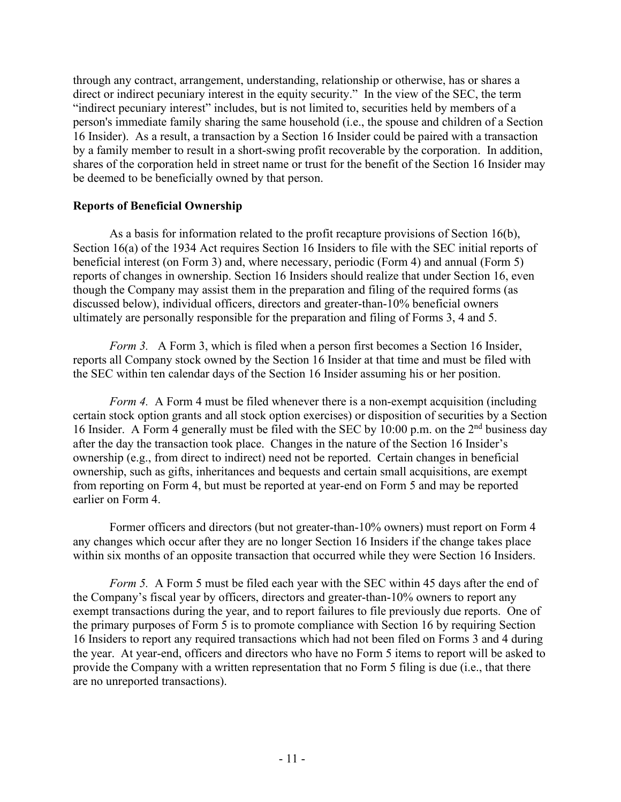through any contract, arrangement, understanding, relationship or otherwise, has or shares a direct or indirect pecuniary interest in the equity security." In the view of the SEC, the term "indirect pecuniary interest" includes, but is not limited to, securities held by members of a person's immediate family sharing the same household (i.e., the spouse and children of a Section 16 Insider). As a result, a transaction by a Section 16 Insider could be paired with a transaction by a family member to result in a short-swing profit recoverable by the corporation. In addition, shares of the corporation held in street name or trust for the benefit of the Section 16 Insider may be deemed to be beneficially owned by that person.

### **Reports of Beneficial Ownership**

As a basis for information related to the profit recapture provisions of Section 16(b), Section 16(a) of the 1934 Act requires Section 16 Insiders to file with the SEC initial reports of beneficial interest (on Form 3) and, where necessary, periodic (Form 4) and annual (Form 5) reports of changes in ownership. Section 16 Insiders should realize that under Section 16, even though the Company may assist them in the preparation and filing of the required forms (as discussed below), individual officers, directors and greater-than-10% beneficial owners ultimately are personally responsible for the preparation and filing of Forms 3, 4 and 5.

*Form 3.* A Form 3, which is filed when a person first becomes a Section 16 Insider, reports all Company stock owned by the Section 16 Insider at that time and must be filed with the SEC within ten calendar days of the Section 16 Insider assuming his or her position.

*Form 4.* A Form 4 must be filed whenever there is a non-exempt acquisition (including certain stock option grants and all stock option exercises) or disposition of securities by a Section 16 Insider. A Form 4 generally must be filed with the SEC by 10:00 p.m. on the  $2<sup>nd</sup>$  business day after the day the transaction took place. Changes in the nature of the Section 16 Insider's ownership (e.g., from direct to indirect) need not be reported. Certain changes in beneficial ownership, such as gifts, inheritances and bequests and certain small acquisitions, are exempt from reporting on Form 4, but must be reported at year-end on Form 5 and may be reported earlier on Form 4.

Former officers and directors (but not greater-than-10% owners) must report on Form 4 any changes which occur after they are no longer Section 16 Insiders if the change takes place within six months of an opposite transaction that occurred while they were Section 16 Insiders.

*Form 5.* A Form 5 must be filed each year with the SEC within 45 days after the end of the Company's fiscal year by officers, directors and greater-than-10% owners to report any exempt transactions during the year, and to report failures to file previously due reports. One of the primary purposes of Form 5 is to promote compliance with Section 16 by requiring Section 16 Insiders to report any required transactions which had not been filed on Forms 3 and 4 during the year. At year-end, officers and directors who have no Form 5 items to report will be asked to provide the Company with a written representation that no Form 5 filing is due (i.e., that there are no unreported transactions).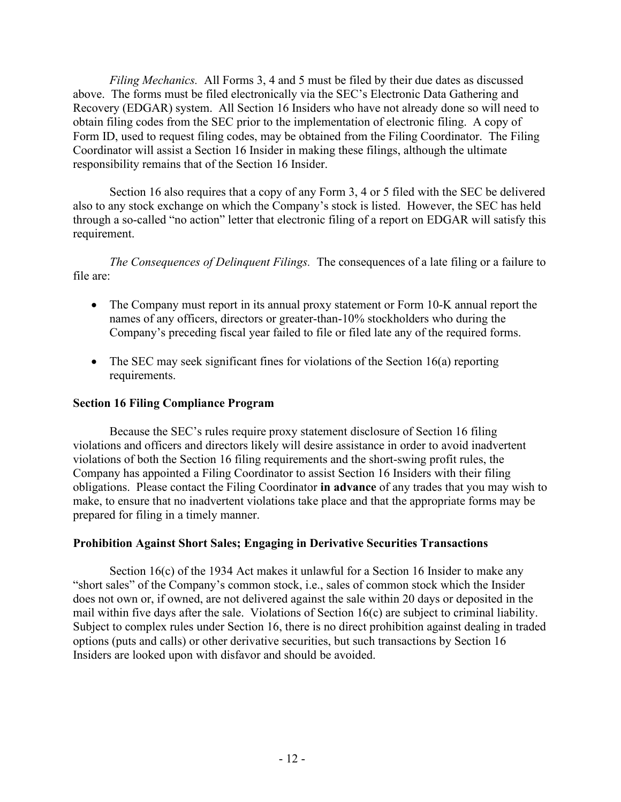*Filing Mechanics.* All Forms 3, 4 and 5 must be filed by their due dates as discussed above. The forms must be filed electronically via the SEC's Electronic Data Gathering and Recovery (EDGAR) system. All Section 16 Insiders who have not already done so will need to obtain filing codes from the SEC prior to the implementation of electronic filing. A copy of Form ID, used to request filing codes, may be obtained from the Filing Coordinator. The Filing Coordinator will assist a Section 16 Insider in making these filings, although the ultimate responsibility remains that of the Section 16 Insider.

Section 16 also requires that a copy of any Form 3, 4 or 5 filed with the SEC be delivered also to any stock exchange on which the Company's stock is listed. However, the SEC has held through a so-called "no action" letter that electronic filing of a report on EDGAR will satisfy this requirement.

*The Consequences of Delinquent Filings.* The consequences of a late filing or a failure to file are:

- The Company must report in its annual proxy statement or Form 10-K annual report the names of any officers, directors or greater-than-10% stockholders who during the Company's preceding fiscal year failed to file or filed late any of the required forms.
- The SEC may seek significant fines for violations of the Section 16(a) reporting requirements.

# **Section 16 Filing Compliance Program**

Because the SEC's rules require proxy statement disclosure of Section 16 filing violations and officers and directors likely will desire assistance in order to avoid inadvertent violations of both the Section 16 filing requirements and the short-swing profit rules, the Company has appointed a Filing Coordinator to assist Section 16 Insiders with their filing obligations. Please contact the Filing Coordinator **in advance** of any trades that you may wish to make, to ensure that no inadvertent violations take place and that the appropriate forms may be prepared for filing in a timely manner.

# **Prohibition Against Short Sales; Engaging in Derivative Securities Transactions**

Section 16(c) of the 1934 Act makes it unlawful for a Section 16 Insider to make any "short sales" of the Company's common stock, i.e., sales of common stock which the Insider does not own or, if owned, are not delivered against the sale within 20 days or deposited in the mail within five days after the sale. Violations of Section 16(c) are subject to criminal liability. Subject to complex rules under Section 16, there is no direct prohibition against dealing in traded options (puts and calls) or other derivative securities, but such transactions by Section 16 Insiders are looked upon with disfavor and should be avoided.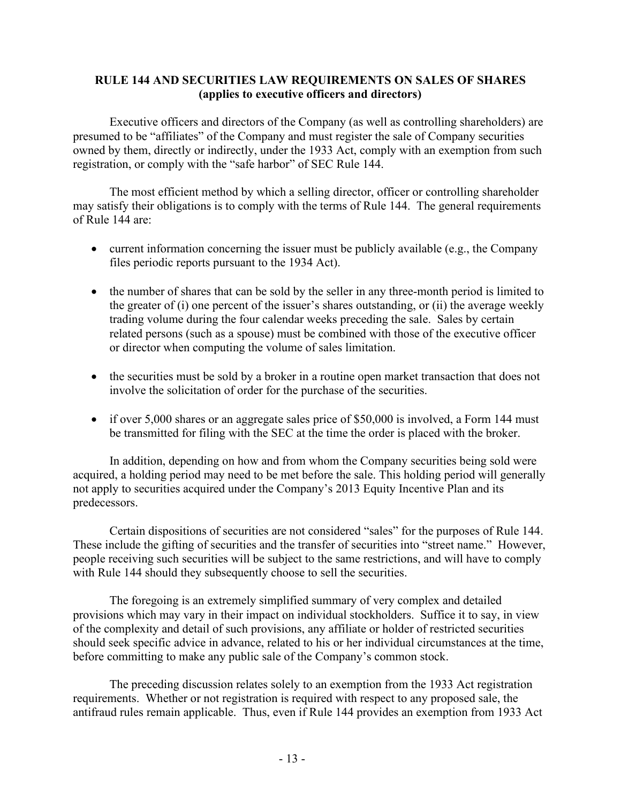# **RULE 144 AND SECURITIES LAW REQUIREMENTS ON SALES OF SHARES (applies to executive officers and directors)**

Executive officers and directors of the Company (as well as controlling shareholders) are presumed to be "affiliates" of the Company and must register the sale of Company securities owned by them, directly or indirectly, under the 1933 Act, comply with an exemption from such registration, or comply with the "safe harbor" of SEC Rule 144.

The most efficient method by which a selling director, officer or controlling shareholder may satisfy their obligations is to comply with the terms of Rule 144. The general requirements of Rule 144 are:

- current information concerning the issuer must be publicly available (e.g., the Company files periodic reports pursuant to the 1934 Act).
- the number of shares that can be sold by the seller in any three-month period is limited to the greater of (i) one percent of the issuer's shares outstanding, or (ii) the average weekly trading volume during the four calendar weeks preceding the sale. Sales by certain related persons (such as a spouse) must be combined with those of the executive officer or director when computing the volume of sales limitation.
- the securities must be sold by a broker in a routine open market transaction that does not involve the solicitation of order for the purchase of the securities.
- if over 5,000 shares or an aggregate sales price of \$50,000 is involved, a Form 144 must be transmitted for filing with the SEC at the time the order is placed with the broker.

In addition, depending on how and from whom the Company securities being sold were acquired, a holding period may need to be met before the sale. This holding period will generally not apply to securities acquired under the Company's 2013 Equity Incentive Plan and its predecessors.

Certain dispositions of securities are not considered "sales" for the purposes of Rule 144. These include the gifting of securities and the transfer of securities into "street name." However, people receiving such securities will be subject to the same restrictions, and will have to comply with Rule 144 should they subsequently choose to sell the securities.

The foregoing is an extremely simplified summary of very complex and detailed provisions which may vary in their impact on individual stockholders. Suffice it to say, in view of the complexity and detail of such provisions, any affiliate or holder of restricted securities should seek specific advice in advance, related to his or her individual circumstances at the time, before committing to make any public sale of the Company's common stock.

The preceding discussion relates solely to an exemption from the 1933 Act registration requirements. Whether or not registration is required with respect to any proposed sale, the antifraud rules remain applicable. Thus, even if Rule 144 provides an exemption from 1933 Act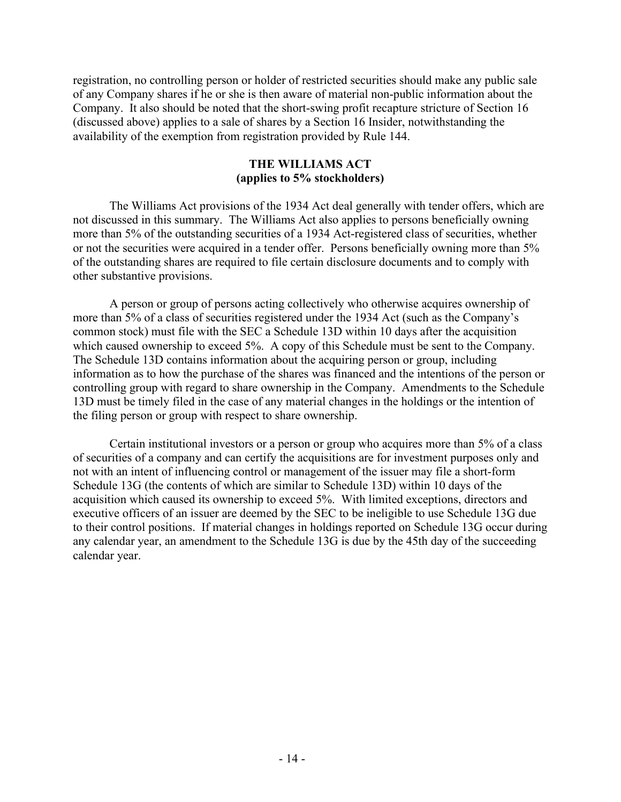registration, no controlling person or holder of restricted securities should make any public sale of any Company shares if he or she is then aware of material non-public information about the Company. It also should be noted that the short-swing profit recapture stricture of Section 16 (discussed above) applies to a sale of shares by a Section 16 Insider, notwithstanding the availability of the exemption from registration provided by Rule 144.

# **THE WILLIAMS ACT (applies to 5% stockholders)**

The Williams Act provisions of the 1934 Act deal generally with tender offers, which are not discussed in this summary. The Williams Act also applies to persons beneficially owning more than 5% of the outstanding securities of a 1934 Act-registered class of securities, whether or not the securities were acquired in a tender offer. Persons beneficially owning more than 5% of the outstanding shares are required to file certain disclosure documents and to comply with other substantive provisions.

A person or group of persons acting collectively who otherwise acquires ownership of more than 5% of a class of securities registered under the 1934 Act (such as the Company's common stock) must file with the SEC a Schedule 13D within 10 days after the acquisition which caused ownership to exceed 5%. A copy of this Schedule must be sent to the Company. The Schedule 13D contains information about the acquiring person or group, including information as to how the purchase of the shares was financed and the intentions of the person or controlling group with regard to share ownership in the Company. Amendments to the Schedule 13D must be timely filed in the case of any material changes in the holdings or the intention of the filing person or group with respect to share ownership.

Certain institutional investors or a person or group who acquires more than 5% of a class of securities of a company and can certify the acquisitions are for investment purposes only and not with an intent of influencing control or management of the issuer may file a short-form Schedule 13G (the contents of which are similar to Schedule 13D) within 10 days of the acquisition which caused its ownership to exceed 5%. With limited exceptions, directors and executive officers of an issuer are deemed by the SEC to be ineligible to use Schedule 13G due to their control positions. If material changes in holdings reported on Schedule 13G occur during any calendar year, an amendment to the Schedule 13G is due by the 45th day of the succeeding calendar year.